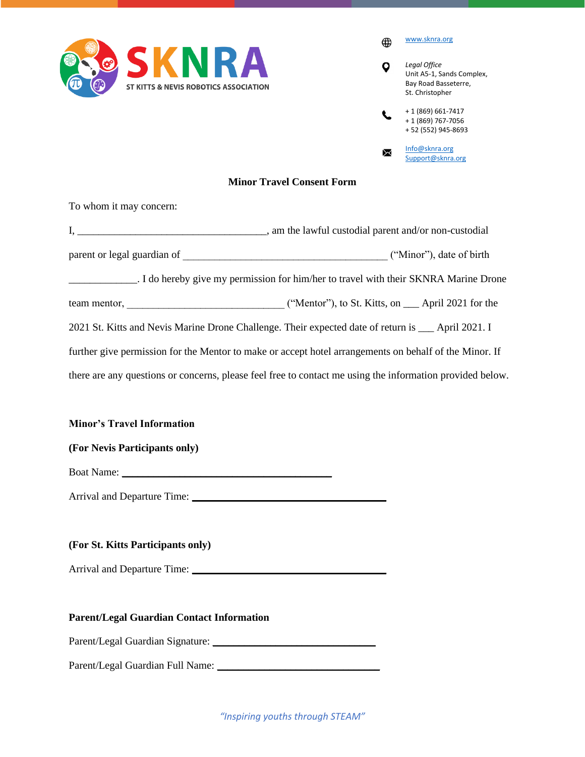

[www.sknra.org](http://www.sknra.org/)  $\bigoplus$ *Legal Office*  $\overline{Q}$ Unit A5-1, Sands Complex, Bay Road Basseterre, St. Christopher + 1 (869) 661-7417  $\mathcal{L}$ + 1 (869) 767-7056 + 52 (552) 945-8693 [Info@sknra.org](mailto:Info@sknra.org) ₩ [Support@sknra.org](mailto:Support@sknra.org)

## **Minor Travel Consent Form**

To whom it may concern:

| ("Minor"), date of birth                                                                                  |
|-----------------------------------------------------------------------------------------------------------|
| I do hereby give my permission for him/her to travel with their SKNRA Marine Drone                        |
|                                                                                                           |
| 2021 St. Kitts and Nevis Marine Drone Challenge. Their expected date of return is ___ April 2021. I       |
| further give permission for the Mentor to make or accept hotel arrangements on behalf of the Minor. If    |
| there are any questions or concerns, please feel free to contact me using the information provided below. |

**Minor's Travel Information**

**(For Nevis Participants only)**

Boat Name: \_\_\_\_\_\_\_\_\_\_\_\_\_\_\_\_\_\_\_\_\_\_\_\_\_\_\_\_\_\_\_\_\_\_\_\_\_\_\_\_

Arrival and Departure Time: \_\_\_\_\_\_\_\_\_\_\_\_\_\_\_\_\_\_\_\_\_\_\_\_\_\_\_\_\_\_\_\_\_\_\_\_\_

## **(For St. Kitts Participants only)**

Arrival and Departure Time: \_\_\_\_\_\_\_\_\_\_\_\_\_\_\_\_\_\_\_\_\_\_\_\_\_\_\_\_\_\_\_\_\_\_\_\_\_

## **Parent/Legal Guardian Contact Information**

Parent/Legal Guardian Signature: \_\_\_\_\_\_\_\_\_\_\_\_\_\_\_\_\_\_\_\_\_\_\_\_\_\_\_\_\_\_\_

Parent/Legal Guardian Full Name: \_\_\_\_\_\_\_\_\_\_\_\_\_\_\_\_\_\_\_\_\_\_\_\_\_\_\_\_\_\_\_